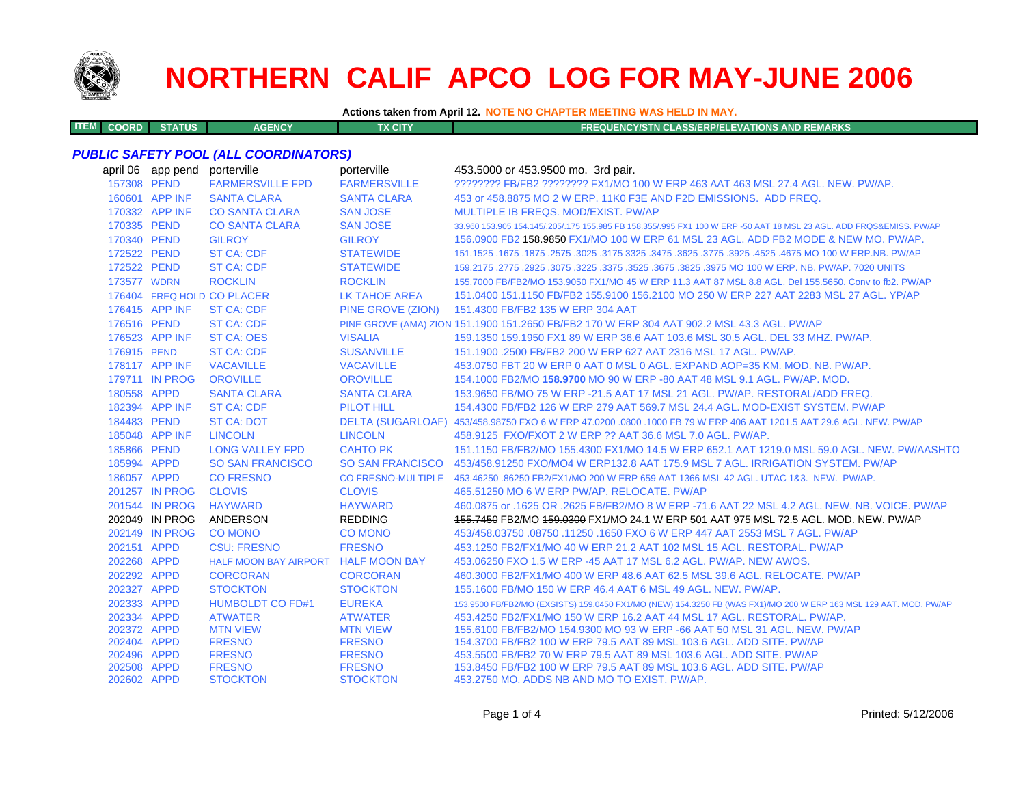

**ITEM**

# **NORTHERN CALIF APCO LOG FOR MAY-JUNE 2006**

**Actions taken from April 12. NOTE NO CHAPTER MEETING WAS HELD IN MAY.**

**COORD STATUS AGENCY TX CITY FREQUENCY/STN CLASS/ERP/ELEVATIONS AND REMARKS**

#### *PUBLIC SAFETY POOL (ALL COORDINATORS)*

|             | april 06 app pend | porterville                         | porterville          | 453.5000 or 453.9500 mo. 3rd pair.                                                                                  |
|-------------|-------------------|-------------------------------------|----------------------|---------------------------------------------------------------------------------------------------------------------|
| 157308 PEND |                   | <b>FARMERSVILLE FPD</b>             | <b>FARMERSVILLE</b>  | ???????? FB/FB2 ??????? FX1/MO 100 W ERP 463 AAT 463 MSL 27.4 AGL. NEW. PW/AP.                                      |
|             | 160601 APP INF    | <b>SANTA CLARA</b>                  | <b>SANTA CLARA</b>   | 453 or 458,8875 MO 2 W ERP, 11K0 F3E AND F2D EMISSIONS. ADD FREQ.                                                   |
|             | 170332 APP INF    | <b>CO SANTA CLARA</b>               | <b>SAN JOSE</b>      | MULTIPLE IB FREQS, MOD/EXIST, PW/AP                                                                                 |
| 170335 PEND |                   | <b>CO SANTA CLARA</b>               | <b>SAN JOSE</b>      | 33.960 153.905 154.145/.205/.175 155.985 FB 158.355/.995 FX1 100 W ERP -50 AAT 18 MSL 23 AGL. ADD FRQS&EMISS. PW/AP |
| 170340 PEND |                   | <b>GILROY</b>                       | <b>GILROY</b>        | 156,0900 FB2 158,9850 FX1/MO 100 W ERP 61 MSL 23 AGL, ADD FB2 MODE & NEW MO, PW/AP.                                 |
| 172522 PEND |                   | <b>ST CA: CDF</b>                   | <b>STATEWIDE</b>     | 151.1525 .1675 .1875 .2575 .3025 .3175 3325 .3475 .3625 .3775 .3925 .4525 .4675 MO 100 W ERP.NB. PW/AP              |
| 172522 PEND |                   | <b>ST CA: CDF</b>                   | <b>STATEWIDE</b>     | 159.2175 .2775 .2925 .3075 .3225 .3675 .3825 .3825 .3975 MO 100 W ERP. NB. PW/AP. 7020 UNITS                        |
| 173577 WDRN |                   | <b>ROCKLIN</b>                      | <b>ROCKLIN</b>       | 155,7000 FB/FB2/MO 153,9050 FX1/MO 45 W ERP 11.3 AAT 87 MSL 8.8 AGL, Del 155,5650, Conv to fb2, PW/AP               |
|             |                   | 176404 FREQ HOLD CO PLACER          | <b>LK TAHOE AREA</b> | 151,0400-151,1150 FB/FB2 155,9100 156,2100 MO 250 W ERP 227 AAT 2283 MSL 27 AGL, YP/AP                              |
|             | 176415 APP INF    | <b>ST CA: CDF</b>                   | PINE GROVE (ZION)    | 151.4300 FB/FB2 135 W ERP 304 AAT                                                                                   |
| 176516 PEND |                   | <b>ST CA: CDF</b>                   |                      | PINE GROVE (AMA) ZION 151.1900 151.2650 FB/FB2 170 W ERP 304 AAT 902.2 MSL 43.3 AGL. PW/AP                          |
|             | 176523 APP INF    | <b>ST CA: OES</b>                   | <b>VISALIA</b>       | 159.1350 159.1950 FX1 89 W ERP 36.6 AAT 103.6 MSL 30.5 AGL. DEL 33 MHZ. PW/AP.                                      |
| 176915 PEND |                   | <b>ST CA: CDF</b>                   | <b>SUSANVILLE</b>    | 151.1900 .2500 FB/FB2 200 W ERP 627 AAT 2316 MSL 17 AGL, PW/AP.                                                     |
|             | 178117 APP INF    | <b>VACAVILLE</b>                    | <b>VACAVILLE</b>     | 453.0750 FBT 20 W ERP 0 AAT 0 MSL 0 AGL, EXPAND AOP=35 KM, MOD, NB, PW/AP,                                          |
|             | 179711 IN PROG    | <b>OROVILLE</b>                     | <b>OROVILLE</b>      | 154.1000 FB2/MO 158.9700 MO 90 W ERP -80 AAT 48 MSL 9.1 AGL, PW/AP, MOD,                                            |
| 180558 APPD |                   | <b>SANTA CLARA</b>                  | <b>SANTA CLARA</b>   | 153,9650 FB/MO 75 W ERP -21.5 AAT 17 MSL 21 AGL, PW/AP, RESTORAL/ADD FREQ.                                          |
|             | 182394 APP INF    | <b>ST CA: CDF</b>                   | <b>PILOT HILL</b>    | 154,4300 FB/FB2 126 W ERP 279 AAT 569.7 MSL 24.4 AGL, MOD-EXIST SYSTEM, PW/AP                                       |
| 184483 PEND |                   | <b>ST CA: DOT</b>                   |                      | DELTA (SUGARLOAF) 453/458.98750 FXO 6 W ERP 47.0200 .0800 .1000 FB 79 W ERP 406 AAT 1201.5 AAT 29.6 AGL. NEW. PW/AP |
|             | 185048 APP INF    | <b>LINCOLN</b>                      | <b>LINCOLN</b>       | 458.9125 FXO/FXOT 2 W ERP ?? AAT 36.6 MSL 7.0 AGL. PW/AP.                                                           |
| 185866 PEND |                   | <b>LONG VALLEY FPD</b>              | <b>CAHTO PK</b>      | 151.1150 FB/FB2/MO 155.4300 FX1/MO 14.5 W ERP 652.1 AAT 1219.0 MSL 59.0 AGL. NEW, PW/AASHTO                         |
| 185994 APPD |                   | <b>SO SAN FRANCISCO</b>             |                      | SO SAN FRANCISCO 453/458.91250 FXO/MO4 W ERP132.8 AAT 175.9 MSL 7 AGL. IRRIGATION SYSTEM. PW/AP                     |
| 186057 APPD |                   | <b>CO FRESNO</b>                    |                      | CO FRESNO-MULTIPLE 453.46250 .86250 FB2/FX1/MO 200 W ERP 659 AAT 1366 MSL 42 AGL. UTAC 1&3. NEW. PW/AP.             |
|             | 201257 IN PROG    | <b>CLOVIS</b>                       | <b>CLOVIS</b>        | 465.51250 MO 6 W ERP PW/AP, RELOCATE, PW/AP                                                                         |
|             | 201544 IN PROG    | <b>HAYWARD</b>                      | <b>HAYWARD</b>       | 460.0875 or .1625 OR .2625 FB/FB2/MO 8 W ERP -71.6 AAT 22 MSL 4.2 AGL. NEW. NB. VOICE. PW/AP                        |
|             | 202049 IN PROG    | ANDERSON                            | <b>REDDING</b>       | 155,7450 FB2/MO 159,0300 FX1/MO 24.1 W ERP 501 AAT 975 MSL 72.5 AGL, MOD, NEW, PW/AP                                |
|             | 202149 IN PROG    | <b>CO MONO</b>                      | <b>CO MONO</b>       | 453/458.03750 .08750 .11250 .1650 FXO 6 W ERP 447 AAT 2553 MSL 7 AGL. PW/AP                                         |
| 202151 APPD |                   | <b>CSU: FRESNO</b>                  | <b>FRESNO</b>        | 453.1250 FB2/FX1/MO 40 W ERP 21.2 AAT 102 MSL 15 AGL, RESTORAL, PW/AP                                               |
| 202268 APPD |                   | HALF MOON BAY AIRPORT HALF MOON BAY |                      | 453,06250 FXO 1.5 W ERP -45 AAT 17 MSL 6.2 AGL, PW/AP, NEW AWOS,                                                    |
| 202292 APPD |                   | <b>CORCORAN</b>                     | <b>CORCORAN</b>      | 460.3000 FB2/FX1/MO 400 W ERP 48.6 AAT 62.5 MSL 39.6 AGL, RELOCATE, PW/AP                                           |
| 202327 APPD |                   | <b>STOCKTON</b>                     | <b>STOCKTON</b>      | 155,1600 FB/MO 150 W ERP 46.4 AAT 6 MSL 49 AGL, NEW, PW/AP.                                                         |
| 202333 APPD |                   | <b>HUMBOLDT CO FD#1</b>             | <b>EUREKA</b>        | 153.9500 FB/FB2/MO (EXSISTS) 159.0450 FX1/MO (NEW) 154.3250 FB (WAS FX1)/MO 200 W ERP 163 MSL 129 AAT. MOD. PW/AP   |
| 202334 APPD |                   | <b>ATWATER</b>                      | <b>ATWATER</b>       | 453.4250 FB2/FX1/MO 150 W ERP 16.2 AAT 44 MSL 17 AGL, RESTORAL, PW/AP.                                              |
| 202372 APPD |                   | <b>MTN VIEW</b>                     | <b>MTN VIEW</b>      | 155,6100 FB/FB2/MO 154,9300 MO 93 W ERP -66 AAT 50 MSL 31 AGL, NEW, PW/AP                                           |
| 202404 APPD |                   | <b>FRESNO</b>                       | <b>FRESNO</b>        | 154,3700 FB/FB2 100 W ERP 79.5 AAT 89 MSL 103.6 AGL, ADD SITE, PW/AP                                                |
| 202496 APPD |                   | <b>FRESNO</b>                       | <b>FRESNO</b>        | 453,5500 FB/FB2 70 W ERP 79.5 AAT 89 MSL 103.6 AGL, ADD SITE, PW/AP                                                 |
| 202508 APPD |                   | <b>FRESNO</b>                       | <b>FRESNO</b>        | 153.8450 FB/FB2 100 W ERP 79.5 AAT 89 MSL 103.6 AGL. ADD SITE, PW/AP                                                |
| 202602 APPD |                   | <b>STOCKTON</b>                     | <b>STOCKTON</b>      | 453.2750 MO, ADDS NB AND MO TO EXIST, PW/AP.                                                                        |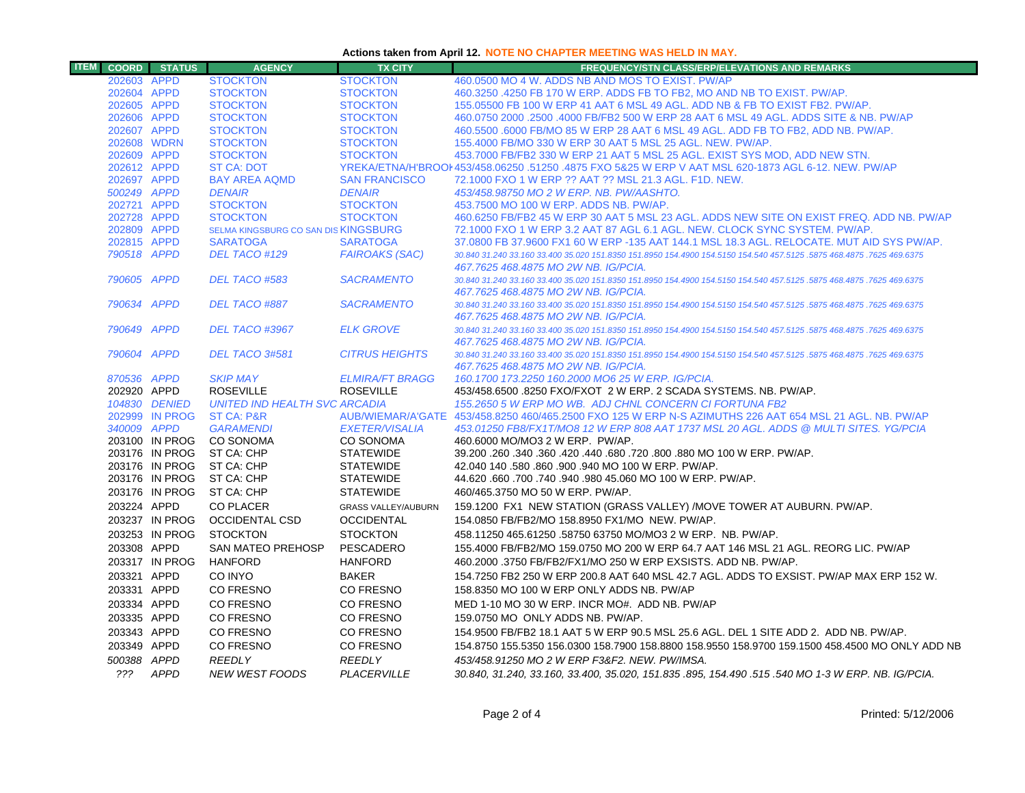## **Actions taken from April 12. NOTE NO CHAPTER MEETING WAS HELD IN MAY.**

| <b>ITEM</b> |                            | <b>COORD</b> STATUS | <b>AGENCY</b>                        | <b>TX CITY</b>                     | <b>FREQUENCY/STN CLASS/ERP/ELEVATIONS AND REMARKS</b>                                                                              |
|-------------|----------------------------|---------------------|--------------------------------------|------------------------------------|------------------------------------------------------------------------------------------------------------------------------------|
|             | 202603 APPD                |                     | <b>STOCKTON</b>                      | <b>STOCKTON</b>                    | 460,0500 MO 4 W. ADDS NB AND MOS TO EXIST. PW/AP                                                                                   |
|             | 202604 APPD                |                     | <b>STOCKTON</b>                      | <b>STOCKTON</b>                    | 460.3250 .4250 FB 170 W ERP. ADDS FB TO FB2, MO AND NB TO EXIST. PW/AP.                                                            |
|             | 202605 APPD                |                     | <b>STOCKTON</b>                      | <b>STOCKTON</b>                    | 155,05500 FB 100 W ERP 41 AAT 6 MSL 49 AGL, ADD NB & FB TO EXIST FB2, PW/AP.                                                       |
|             | 202606 APPD                |                     | <b>STOCKTON</b>                      | <b>STOCKTON</b>                    | 460,0750 2000 .2500 .4000 FB/FB2 500 W ERP 28 AAT 6 MSL 49 AGL, ADDS SITE & NB, PW/AP                                              |
|             | 202607 APPD                |                     | <b>STOCKTON</b>                      | <b>STOCKTON</b>                    | 460.5500 .6000 FB/MO 85 W ERP 28 AAT 6 MSL 49 AGL. ADD FB TO FB2, ADD NB. PW/AP.                                                   |
|             | 202608 WDRN                |                     | <b>STOCKTON</b>                      | <b>STOCKTON</b>                    | 155,4000 FB/MO 330 W ERP 30 AAT 5 MSL 25 AGL, NEW, PW/AP.                                                                          |
|             | 202609 APPD                |                     | <b>STOCKTON</b>                      | <b>STOCKTON</b>                    | 453.7000 FB/FB2 330 W ERP 21 AAT 5 MSL 25 AGL. EXIST SYS MOD, ADD NEW STN.                                                         |
|             | 202612 APPD                |                     | <b>ST CA: DOT</b>                    |                                    | YREKA/ETNA/H'BROOI 453/458.06250 .51250 .4875 FXO 5&25 W ERP V AAT MSL 620-1873 AGL 6-12. NEW, PW/AP                               |
|             | 202697 APPD                |                     | <b>BAY AREA AQMD</b>                 | <b>SAN FRANCISCO</b>               | 72.1000 FXO 1 W ERP ?? AAT ?? MSL 21.3 AGL, F1D, NEW.                                                                              |
|             | 500249 APPD                |                     | <b>DENAIR</b>                        | <b>DENAIR</b>                      | 453/458.98750 MO 2 W ERP. NB. PW/AASHTO.                                                                                           |
|             | 202721 APPD<br>202728 APPD |                     | <b>STOCKTON</b><br><b>STOCKTON</b>   | <b>STOCKTON</b><br><b>STOCKTON</b> | 453.7500 MO 100 W ERP. ADDS NB. PW/AP.<br>460.6250 FB/FB2 45 W ERP 30 AAT 5 MSL 23 AGL. ADDS NEW SITE ON EXIST FREQ. ADD NB. PW/AP |
|             | 202809 APPD                |                     | SELMA KINGSBURG CO SAN DIS KINGSBURG |                                    | 72.1000 FXO 1 W ERP 3.2 AAT 87 AGL 6.1 AGL. NEW. CLOCK SYNC SYSTEM. PW/AP.                                                         |
|             | 202815 APPD                |                     | <b>SARATOGA</b>                      | <b>SARATOGA</b>                    | 37,0800 FB 37,9600 FX1 60 W ERP -135 AAT 144.1 MSL 18.3 AGL, RELOCATE, MUT AID SYS PW/AP.                                          |
|             | 790518 APPD                |                     | DEL TACO #129                        | <b>FAIROAKS (SAC)</b>              | 30.840 31.240 33.160 33.400 35.020 151.8350 151.8950 154.4900 154.5150 154.540 457.5125 .5875 468.4875 .7625 469.6375              |
|             |                            |                     |                                      |                                    | 467.7625 468.4875 MO 2W NB. IG/PCIA.                                                                                               |
|             | 790605 APPD                |                     | DEL TACO #583                        | <b>SACRAMENTO</b>                  | 30.840 31.240 33.160 33.400 35.020 151.8350 151.8950 154.4900 154.5150 154.540 457.5125 .5875 468.4875 .7625 469.6375              |
|             |                            |                     |                                      |                                    | 467.7625 468.4875 MO 2W NB. IG/PCIA.                                                                                               |
|             | 790634 APPD                |                     | DEL TACO #887                        | <b>SACRAMENTO</b>                  | 30.840 31.240 33.160 33.400 35.020 151.8350 151.8950 154.4900 154.5150 154.540 457.5125 .5875 468.4875 .7625 469.6375              |
|             |                            |                     |                                      |                                    | 467.7625 468.4875 MO 2W NB, IG/PCIA,                                                                                               |
|             | 790649 APPD                |                     | DEL TACO #3967                       | <b>ELK GROVE</b>                   | 30.840 31.240 33.160 33.400 35.020 151.8350 151.8950 154.4900 154.5150 154.540 457.5125 .5875 468.4875 .7625 469.6375              |
|             |                            |                     |                                      |                                    | 467.7625 468.4875 MO 2W NB, IG/PCIA,                                                                                               |
|             | 790604 APPD                |                     | <b>DEL TACO 3#581</b>                | <b>CITRUS HEIGHTS</b>              | 30.840 31.240 33.160 33.400 35.020 151.8350 151.8950 154.4900 154.5150 154.540 457.5125 .5875 468.4875 .7625 469.6375              |
|             |                            |                     |                                      |                                    | 467.7625 468.4875 MO 2W NB. IG/PCIA.                                                                                               |
|             | 870536 APPD                |                     | <b>SKIP MAY</b>                      | <b>ELMIRA/FT BRAGG</b>             | 160.1700 173.2250 160.2000 MO6 25 W ERP. IG/PCIA.                                                                                  |
|             | 202920 APPD                |                     | <b>ROSEVILLE</b>                     | <b>ROSEVILLE</b>                   | 453/458.6500 .8250 FXO/FXOT 2 W ERP. 2 SCADA SYSTEMS. NB. PW/AP.                                                                   |
|             |                            | 104830 DENIED       | <b>UNITED IND HEALTH SVC ARCADIA</b> |                                    | 155.2650 5 W ERP MO WB. ADJ CHNL CONCERN CI FORTUNA FB2                                                                            |
|             |                            | 202999 IN PROG      | <b>ST CA: P&amp;R</b>                |                                    | AUB/WIEMAR/A'GATE 453/458.8250 460/465.2500 FXO 125 W ERP N-S AZIMUTHS 226 AAT 654 MSL 21 AGL. NB. PW/AP                           |
|             | 340009 APPD                | 203100 IN PROG      | <b>GARAMENDI</b><br><b>CO SONOMA</b> | <b>EXETER/VISALIA</b><br>CO SONOMA | 453.01250 FB8/FX1T/MO8 12 W ERP 808 AAT 1737 MSL 20 AGL. ADDS @ MULTI SITES, YG/PCIA<br>460,6000 MO/MO3 2 W ERP. PW/AP.            |
|             |                            | 203176 IN PROG      | ST CA: CHP                           | <b>STATEWIDE</b>                   | 39.200 .260 .340 .360 .420 .440 .680 .720 .800 .880 MO 100 W ERP. PW/AP.                                                           |
|             |                            | 203176 IN PROG      | ST CA: CHP                           | <b>STATEWIDE</b>                   | 42.040 140 .580 .860 .900 .940 MO 100 W ERP. PW/AP.                                                                                |
|             |                            | 203176 IN PROG      | ST CA: CHP                           | <b>STATEWIDE</b>                   | 44.620 .660 .700 .740 .940 .980 45.060 MO 100 W ERP. PW/AP.                                                                        |
|             |                            | 203176 IN PROG      | ST CA: CHP                           | <b>STATEWIDE</b>                   | 460/465.3750 MO 50 W ERP. PW/AP.                                                                                                   |
|             | 203224 APPD                |                     | <b>CO PLACER</b>                     | <b>GRASS VALLEY/AUBURN</b>         | 159.1200 FX1 NEW STATION (GRASS VALLEY) /MOVE TOWER AT AUBURN. PW/AP.                                                              |
|             |                            | 203237 IN PROG      | <b>OCCIDENTAL CSD</b>                | <b>OCCIDENTAL</b>                  | 154.0850 FB/FB2/MO 158.8950 FX1/MO NEW. PW/AP.                                                                                     |
|             |                            | 203253 IN PROG      | <b>STOCKTON</b>                      | <b>STOCKTON</b>                    | 458.11250 465.61250 .58750 63750 MO/MO3 2 W ERP. NB. PW/AP.                                                                        |
|             | 203308 APPD                |                     |                                      |                                    |                                                                                                                                    |
|             |                            |                     | SAN MATEO PREHOSP                    | PESCADERO                          | 155.4000 FB/FB2/MO 159.0750 MO 200 W ERP 64.7 AAT 146 MSL 21 AGL. REORG LIC. PW/AP                                                 |
|             |                            | 203317 IN PROG      | <b>HANFORD</b>                       | <b>HANFORD</b>                     | 460,2000 .3750 FB/FB2/FX1/MO 250 W ERP EXSISTS, ADD NB, PW/AP.                                                                     |
|             | 203321 APPD                |                     | CO INYO                              | <b>BAKER</b>                       | 154,7250 FB2 250 W ERP 200.8 AAT 640 MSL 42.7 AGL. ADDS TO EXSIST, PW/AP MAX ERP 152 W.                                            |
|             | 203331 APPD                |                     | CO FRESNO                            | CO FRESNO                          | 158.8350 MO 100 W ERP ONLY ADDS NB. PW/AP                                                                                          |
|             | 203334 APPD                |                     | CO FRESNO                            | CO FRESNO                          | MED 1-10 MO 30 W ERP. INCR MO#. ADD NB. PW/AP                                                                                      |
|             | 203335 APPD                |                     | CO FRESNO                            | CO FRESNO                          | 159.0750 MO ONLY ADDS NB. PW/AP.                                                                                                   |
|             | 203343 APPD                |                     | CO FRESNO                            | CO FRESNO                          | 154.9500 FB/FB2 18.1 AAT 5 W ERP 90.5 MSL 25.6 AGL. DEL 1 SITE ADD 2. ADD NB. PW/AP.                                               |
|             | 203349 APPD                |                     | CO FRESNO                            | CO FRESNO                          | 154.8750 155.5350 156.0300 158.7900 158.8800 158.9550 158.9700 159.1500 458.4500 MO ONLY ADD NB                                    |
|             | 500388 APPD                |                     | <b>REEDLY</b>                        | <b>REEDLY</b>                      | 453/458.91250 MO 2 W ERP F3&F2, NEW, PW/IMSA,                                                                                      |
|             |                            | ??? APPD            | <b>NEW WEST FOODS</b>                | PLACERVILLE                        | 30.840, 31.240, 33.160, 33.400, 35.020, 151.835 .895, 154.490 .515 .540 MO 1-3 W ERP. NB. IG/PCIA.                                 |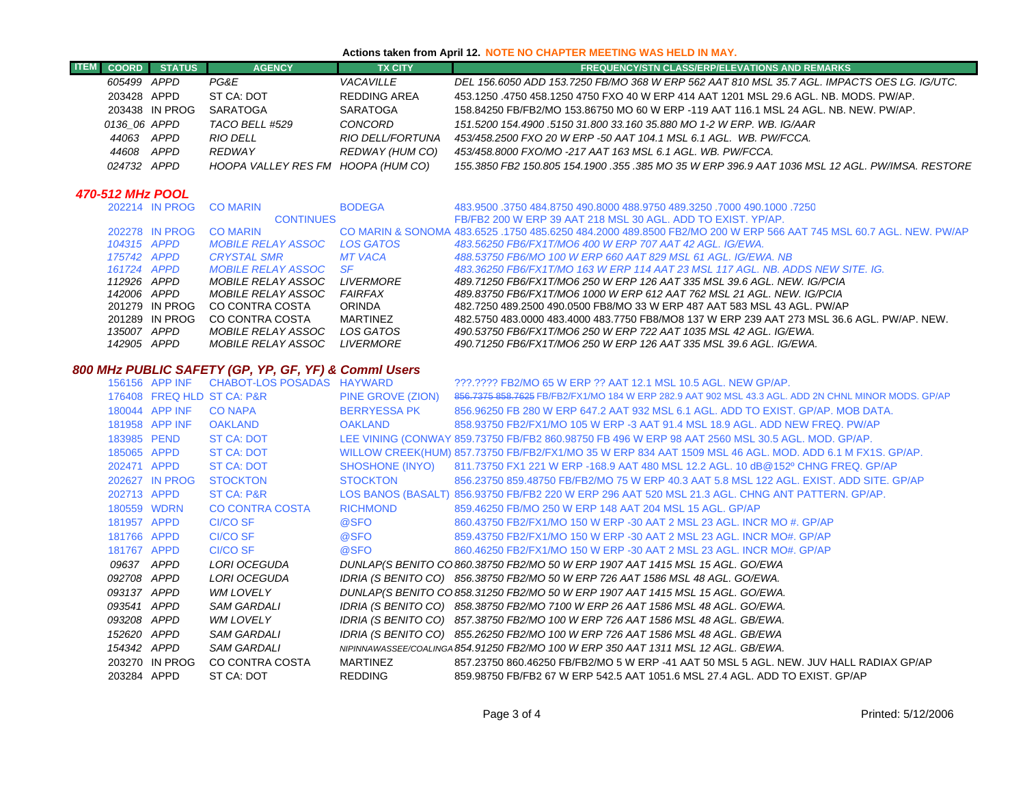#### **Actions taken from April 12. NOTE NO CHAPTER MEETING WAS HELD IN MAY.**

| <b>ITEM</b> | <b>COORD</b> | <b>STATUS</b>  | <b>AGENCY</b>                      | <b>TX CITY</b>          | <b>FREQUENCY/STN CLASS/ERP/ELEVATIONS AND REMARKS</b>                                            |
|-------------|--------------|----------------|------------------------------------|-------------------------|--------------------------------------------------------------------------------------------------|
|             | 605499 APPD  |                | PG&E                               | <i><b>VACAVILLE</b></i> | DEL 156.6050 ADD 153.7250 FB/MO 368 W ERP 562 AAT 810 MSL 35.7 AGL. IMPACTS OES LG. IG/UTC.      |
|             | 203428 APPD  |                | ST CA: DOT                         | REDDING AREA            | 453.1250 .4750 458.1250 4750 FXO 40 W ERP 414 AAT 1201 MSL 29.6 AGL. NB. MODS. PW/AP.            |
|             |              | 203438 IN PROG | SARATOGA                           | SARATOGA                | 158,84250 FB/FB2/MO 153,86750 MO 60 W ERP -119 AAT 116.1 MSL 24 AGL, NB, NEW, PW/AP,             |
|             | 0136 06 APPD |                | TACO BELL #529                     | CONCORD                 | 151.5200 154.4900 .5150 31.800 33.160 35.880 MO 1-2 W ERP. WB. IG/AAR                            |
|             | 44063 APPD   |                | RIO DELL                           | RIO DELL/FORTUNA        | 453/458.2500 FXO 20 W ERP -50 AAT 104.1 MSL 6.1 AGL. WB. PW/FCCA.                                |
|             | 44608        | APPD           | REDWAY                             | REDWAY (HUM CO)         | 453/458.8000 FXO/MO -217 AAT 163 MSL 6.1 AGL. WB. PW/FCCA.                                       |
|             | 024732 APPD  |                | HOOPA VALLEY RES FM HOOPA (HUM CO) |                         | .155.3850 FB2 150.805 154.1900 .355 .385 MO 35 W ERP 396.9 AAT 1036 MSL 12 AGL. PW/IMSA. RESTORE |

# *470-512 MHz POOL*

|  |                                                                                                                                                             | <b>BODEGA</b>                                                                    | 483.9500 .3750 484.8750 490.8000 488.9750 489.3250 .7000 490.1000 .3750                                                   |
|--|-------------------------------------------------------------------------------------------------------------------------------------------------------------|----------------------------------------------------------------------------------|---------------------------------------------------------------------------------------------------------------------------|
|  |                                                                                                                                                             |                                                                                  | FB/FB2 200 W ERP 39 AAT 218 MSL 30 AGL, ADD TO EXIST, YP/AP.                                                              |
|  |                                                                                                                                                             |                                                                                  | CO MARIN & SONOMA 483,6525, 1750 485,6250 484,2000 489,8500 FB2/MO 200 W ERP 566 AAT 745 MSL 60.7 AGL, NEW, PW/AP         |
|  | <i>MOBILE RELAY ASSOC</i>                                                                                                                                   | LOS GATOS                                                                        | 483.56250 FB6/FX1T/MO6 400 W ERP 707 AAT 42 AGL, IG/EWA.                                                                  |
|  | <b>CRYSTAL SMR</b>                                                                                                                                          | <b>MT VACA</b>                                                                   | 488.53750 FB6/MO 100 W ERP 660 AAT 829 MSL 61 AGL. IG/EWA. NB                                                             |
|  |                                                                                                                                                             |                                                                                  | 483.36250 FB6/FX1T/MO 163 W ERP 114 AAT 23 MSL 117 AGL. NB. ADDS NEW SITE. IG.                                            |
|  | <i>MOBILE RELAY ASSOC</i>                                                                                                                                   |                                                                                  | 489.71250 FB6/FX1T/MO6 250 W ERP 126 AAT 335 MSL 39.6 AGL. NEW. IG/PCIA                                                   |
|  | <i>MOBILE RELAY ASSOC</i>                                                                                                                                   |                                                                                  | 489.83750 FB6/FX1T/MO6 1000 W ERP 612 AAT 762 MSL 21 AGL. NEW. IG/PCIA                                                    |
|  |                                                                                                                                                             |                                                                                  | 482.7250 489.2500 490.0500 FB8/MO 33 W ERP 487 AAT 583 MSL 43 AGL. PW/AP                                                  |
|  |                                                                                                                                                             |                                                                                  | 482,5750 483,0000 483,4000 483,7750 FB8/MO8 137 W ERP 239 AAT 273 MSL 36.6 AGL, PW/AP, NEW,                               |
|  | <i>MOBILE RELAY ASSOC</i>                                                                                                                                   | LOS GATOS                                                                        | 490.53750 FB6/FX1T/MO6 250 W ERP 722 AAT 1035 MSL 42 AGL. IG/EWA.                                                         |
|  | <i>MOBILE RELAY ASSOC</i>                                                                                                                                   |                                                                                  | 490.71250 FB6/FX1T/MO6 250 W ERP 126 AAT 335 MSL 39.6 AGL. IG/EWA.                                                        |
|  | 202278 IN PROG<br>104315 APPD<br>175742 APPD<br>161724 APPD<br>112926 APPD<br>142006 APPD<br>201279 IN PROG<br>201289 IN PROG<br>135007 APPD<br>142905 APPD | 202214 IN PROG CO MARIN<br><b>CO MARIN</b><br>CO CONTRA COSTA<br>CO CONTRA COSTA | <b>CONTINUES</b><br>MOBILE RELAY ASSOC SF<br><i>LIVERMORE</i><br>FAIRFAX<br><b>ORINDA</b><br>MARTINEZ<br><i>LIVERMORE</i> |

## *800 MHz PUBLIC SAFETY (GP, YP, GF, YF) & Comml Users*

|             | 156156 APP INF | CHABOT-LOS POSADAS HAYWARD |                   | ???.???? FB2/MO 65 W ERP ?? AAT 12.1 MSL 10.5 AGL. NEW GP/AP.                                           |
|-------------|----------------|----------------------------|-------------------|---------------------------------------------------------------------------------------------------------|
|             |                | 176408 FREQ HLD ST CA: P&R | PINE GROVE (ZION) | 856.7375 858.7625 FB/FB2/FX1/MO 184 W ERP 282.9 AAT 902 MSL 43.3 AGL. ADD 2N CHNL MINOR MODS. GP/AP     |
|             | 180044 APP INF | CO NAPA                    | BERRYESSA PK      | 856,96250 FB 280 W ERP 647.2 AAT 932 MSL 6.1 AGL, ADD TO EXIST, GP/AP, MOB DATA,                        |
|             | 181958 APP INF | <b>OAKLAND</b>             | <b>OAKLAND</b>    | 858,93750 FB2/FX1/MO 105 W ERP -3 AAT 91.4 MSL 18.9 AGL, ADD NEW FREQ, PW/AP                            |
| 183985 PEND |                | <b>ST CA: DOT</b>          |                   | LEE VINING (CONWAY 859.73750 FB/FB2 860.98750 FB 496 W ERP 98 AAT 2560 MSL 30.5 AGL. MOD. GP/AP.        |
| 185065 APPD |                | ST CA: DOT                 |                   | WILLOW CREEK(HUM) 857.73750 FB/FB2/FX1/MO 35 W ERP 834 AAT 1509 MSL 46 AGL. MOD. ADD 6.1 M FX1S. GP/AP. |
| 202471 APPD |                | ST CA: DOT                 | SHOSHONE (INYO)   | 811.73750 FX1 221 W ERP -168.9 AAT 480 MSL 12.2 AGL, 10 dB@152º CHNG FREQ, GP/AP                        |
|             | 202627 IN PROG | <b>STOCKTON</b>            | <b>STOCKTON</b>   | 856.23750 859.48750 FB/FB2/MO 75 W ERP 40.3 AAT 5.8 MSL 122 AGL. EXIST. ADD SITE. GP/AP                 |
| 202713 APPD |                | ST CA: P&R                 |                   | LOS BANOS (BASALT) 856.93750 FB/FB2 220 W ERP 296 AAT 520 MSL 21.3 AGL. CHNG ANT PATTERN. GP/AP.        |
|             | 180559 WDRN    | CO CONTRA COSTA            | <b>RICHMOND</b>   | 859.46250 FB/MO 250 W ERP 148 AAT 204 MSL 15 AGL, GP/AP                                                 |
| 181957 APPD |                | CI/CO SF                   | @SFO              | 860.43750 FB2/FX1/MO 150 W ERP -30 AAT 2 MSL 23 AGL. INCR MO #. GP/AP                                   |
| 181766 APPD |                | CI/CO SF                   | <b>@SFO</b>       | 859.43750 FB2/FX1/MO 150 W ERP -30 AAT 2 MSL 23 AGL. INCR MO#. GP/AP                                    |
| 181767 APPD |                | CI/CO SF                   | <b>@SFO</b>       | 860.46250 FB2/FX1/MO 150 W ERP -30 AAT 2 MSL 23 AGL. INCR MO#. GP/AP                                    |
| 09637 APPD  |                | LORI OCEGUDA               |                   | DUNLAP(S BENITO CO 860.38750 FB2/MO 50 W ERP 1907 AAT 1415 MSL 15 AGL. GO/EWA                           |
| 092708 APPD |                | LORI OCEGUDA               |                   | IDRIA (S BENITO CO) 856.38750 FB2/MO 50 W ERP 726 AAT 1586 MSL 48 AGL. GO/EWA.                          |
| 093137 APPD |                | WM LOVELY                  |                   | DUNLAP(S BENITO CO 858.31250 FB2/MO 50 W ERP 1907 AAT 1415 MSL 15 AGL. GO/EWA.                          |
| 093541 APPD |                | SAM GARDALI                |                   | IDRIA (S BENITO CO) 858.38750 FB2/MO 7100 W ERP 26 AAT 1586 MSL 48 AGL. GO/EWA.                         |
| 093208 APPD |                | WM LOVELY                  |                   | IDRIA (S BENITO CO) 857.38750 FB2/MO 100 W ERP 726 AAT 1586 MSL 48 AGL. GB/EWA.                         |
| 152620 APPD |                | <b>SAM GARDALI</b>         |                   | IDRIA (S BENITO CO) 855.26250 FB2/MO 100 W ERP 726 AAT 1586 MSL 48 AGL. GB/EWA                          |
| 154342 APPD |                | <b>SAM GARDALI</b>         |                   | NIPINNAWASSEE/COALINGA 854.91250 FB2/MO 100 W ERP 350 AAT 1311 MSL 12 AGL. GB/EWA.                      |
|             | 203270 IN PROG | CO CONTRA COSTA            | MARTINEZ          | 857.23750 860.46250 FB/FB2/MO 5 W ERP -41 AAT 50 MSL 5 AGL. NEW. JUV HALL RADIAX GP/AP                  |
| 203284 APPD |                | ST CA: DOT                 | REDDING           | 859.98750 FB/FB2 67 W ERP 542.5 AAT 1051.6 MSL 27.4 AGL. ADD TO EXIST. GP/AP                            |